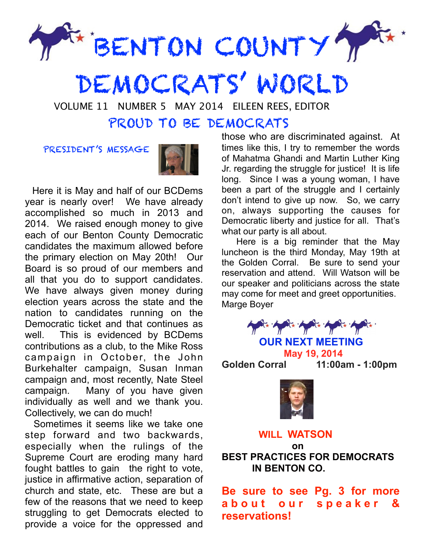

DEMOCRATS' WORLD

VOLUME 11 NUMBER 5 MAY 2014 EILEEN REES, EDITOR

## PROUD TO BE DEMOCRATS

PRESIDENT'S MESSAGE



 Here it is May and half of our BCDems year is nearly over! We have already accomplished so much in 2013 and 2014. We raised enough money to give each of our Benton County Democratic candidates the maximum allowed before the primary election on May 20th! Our Board is so proud of our members and all that you do to support candidates. We have always given money during election years across the state and the nation to candidates running on the Democratic ticket and that continues as well. This is evidenced by BCDems contributions as a club, to the Mike Ross campaign in October, the John Burkehalter campaign, Susan Inman campaign and, most recently, Nate Steel campaign. Many of you have given individually as well and we thank you. Collectively, we can do much!

 Sometimes it seems like we take one step forward and two backwards, especially when the rulings of the Supreme Court are eroding many hard fought battles to gain the right to vote, justice in affirmative action, separation of church and state, etc. These are but a few of the reasons that we need to keep struggling to get Democrats elected to provide a voice for the oppressed and those who are discriminated against. At times like this, I try to remember the words of Mahatma Ghandi and Martin Luther King Jr. regarding the struggle for justice! It is life long. Since I was a young woman, I have been a part of the struggle and I certainly don't intend to give up now. So, we carry on, always supporting the causes for Democratic liberty and justice for all. That's what our party is all about.

 Here is a big reminder that the May luncheon is the third Monday, May 19th at the Golden Corral. Be sure to send your reservation and attend. Will Watson will be our speaker and politicians across the state may come for meet and greet opportunities. Marge Boyer



 **OUR NEXT MEETING May 19, 2014**

**Golden Corral 11:00am - 1:00pm** 



### **WILL WATSON**

 **on BEST PRACTICES FOR DEMOCRATS IN BENTON CO.** 

**Be sure to see Pg. 3 for more a b o u t o u r s p e a k e r & reservations!**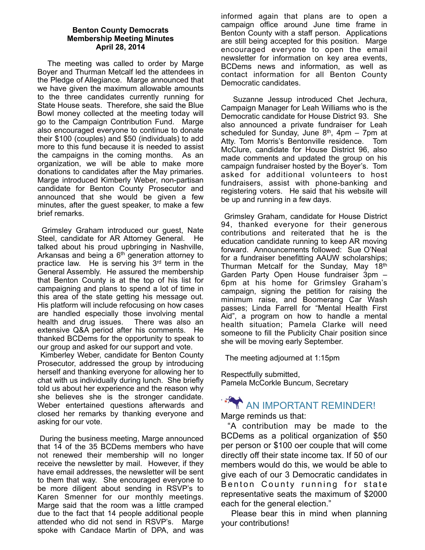#### **Benton County Democrats Membership Meeting Minutes April 28, 2014**

The meeting was called to order by Marge Boyer and Thurman Metcalf led the attendees in the Pledge of Allegiance. Marge announced that we have given the maximum allowable amounts to the three candidates currently running for State House seats. Therefore, she said the Blue Bowl money collected at the meeting today will go to the Campaign Contribution Fund. Marge also encouraged everyone to continue to donate their \$100 (couples) and \$50 (individuals) to add more to this fund because it is needed to assist the campaigns in the coming months. As an organization, we will be able to make more donations to candidates after the May primaries. Marge introduced Kimberly Weber, non-partisan candidate for Benton County Prosecutor and announced that she would be given a few minutes, after the guest speaker, to make a few brief remarks.

 Grimsley Graham introduced our guest, Nate Steel, candidate for AR Attorney General. He talked about his proud upbringing in Nashville, Arkansas and being a  $6<sup>th</sup>$  generation attorney to practice law. He is serving his  $3<sup>rd</sup>$  term in the General Assembly. He assured the membership that Benton County is at the top of his list for campaigning and plans to spend a lot of time in this area of the state getting his message out. His platform will include refocusing on how cases are handled especially those involving mental health and drug issues. There was also an extensive Q&A period after his comments. He thanked BCDems for the opportunity to speak to our group and asked for our support and vote.

 Kimberley Weber, candidate for Benton County Prosecutor, addressed the group by introducing herself and thanking everyone for allowing her to chat with us individually during lunch. She briefly told us about her experience and the reason why she believes she is the stronger candidate. Weber entertained questions afterwards and closed her remarks by thanking everyone and asking for our vote.

 During the business meeting, Marge announced that 14 of the 35 BCDems members who have not renewed their membership will no longer receive the newsletter by mail. However, if they have email addresses, the newsletter will be sent to them that way. She encouraged everyone to be more diligent about sending in RSVP's to Karen Smenner for our monthly meetings. Marge said that the room was a little cramped due to the fact that 14 people additional people attended who did not send in RSVP's. Marge spoke with Candace Martin of DPA, and was

informed again that plans are to open a campaign office around June time frame in Benton County with a staff person. Applications are still being accepted for this position. Marge encouraged everyone to open the email newsletter for information on key area events, BCDems news and information, as well as contact information for all Benton County Democratic candidates.

 Suzanne Jessup introduced Chet Jechura, Campaign Manager for Leah Williams who is the Democratic candidate for House District 93. She also announced a private fundraiser for Leah scheduled for Sunday, June  $8<sup>th</sup>$ , 4pm – 7pm at Atty. Tom Morris's Bentonville residence. Tom McClure, candidate for House District 96, also made comments and updated the group on his campaign fundraiser hosted by the Boyer's. Tom asked for additional volunteers to host fundraisers, assist with phone-banking and registering voters. He said that his website will be up and running in a few days.

 Grimsley Graham, candidate for House District 94, thanked everyone for their generous contributions and reiterated that he is the education candidate running to keep AR moving forward. Announcements followed: Sue O'Neal for a fundraiser benefitting AAUW scholarships; Thurman Metcalf for the Sunday, May 18<sup>th</sup> Garden Party Open House fundraiser 3pm -6pm at his home for Grimsley Graham's campaign, signing the petition for raising the minimum raise, and Boomerang Car Wash passes; Linda Farrell for "Mental Health First Aid", a program on how to handle a mental health situation; Pamela Clarke will need someone to fill the Publicity Chair position since she will be moving early September.

The meeting adjourned at 1:15pm

Respectfully submitted, Pamela McCorkle Buncum, Secretary

# AN IMPORTANT REMINDER!

Marge reminds us that:

 "A contribution may be made to the BCDems as a political organization of \$50 per person or \$100 oer couple that will come directly off their state income tax. If 50 of our members would do this, we would be able to give each of our 3 Democratic candidates in Benton County running for state representative seats the maximum of \$2000 each for the general election."

 Please bear this in mind when planning your contributions!